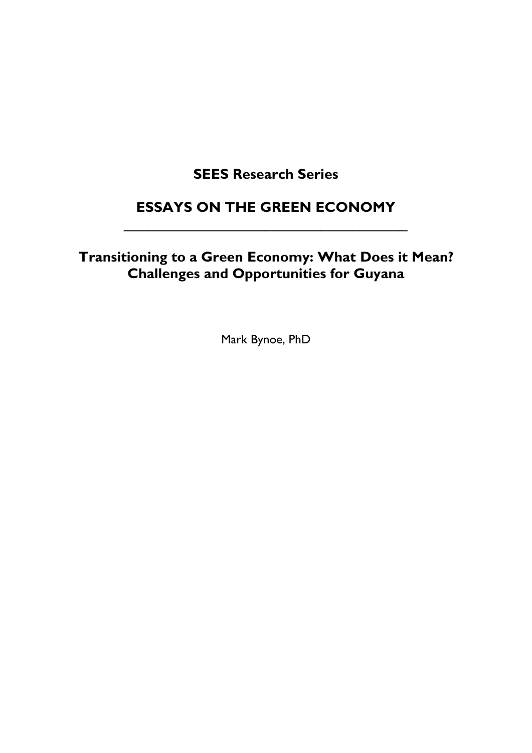# **SEES Research Series**

## **ESSAYS ON THE GREEN ECONOMY** \_\_\_\_\_\_\_\_\_\_\_\_\_\_\_\_\_\_\_\_\_\_\_\_\_\_\_\_\_\_\_\_\_\_\_\_

# **Transitioning to a Green Economy: What Does it Mean? Challenges and Opportunities for Guyana**

Mark Bynoe, PhD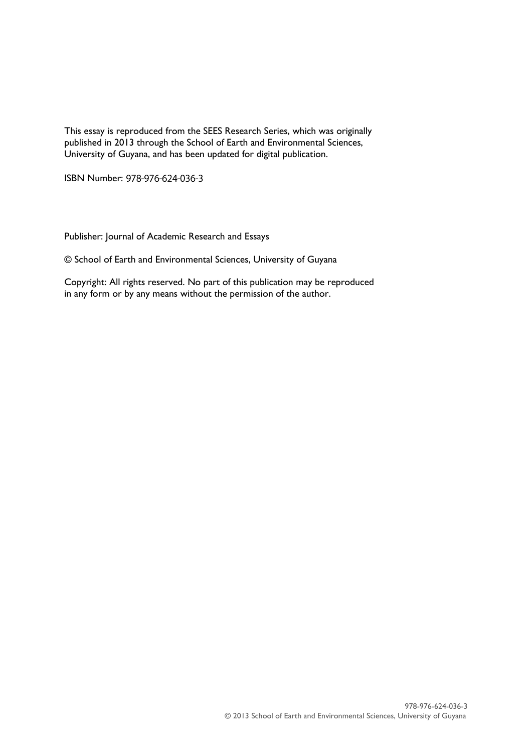This essay is reproduced from the SEES Research Series, which was originally published in 2013 through the School of Earth and Environmental Sciences, University of Guyana, and has been updated for digital publication.

ISBN Number: 978-976-624-036-3

Publisher: Journal of Academic Research and Essays

© School of Earth and Environmental Sciences, University of Guyana

Copyright: All rights reserved. No part of this publication may be reproduced in any form or by any means without the permission of the author.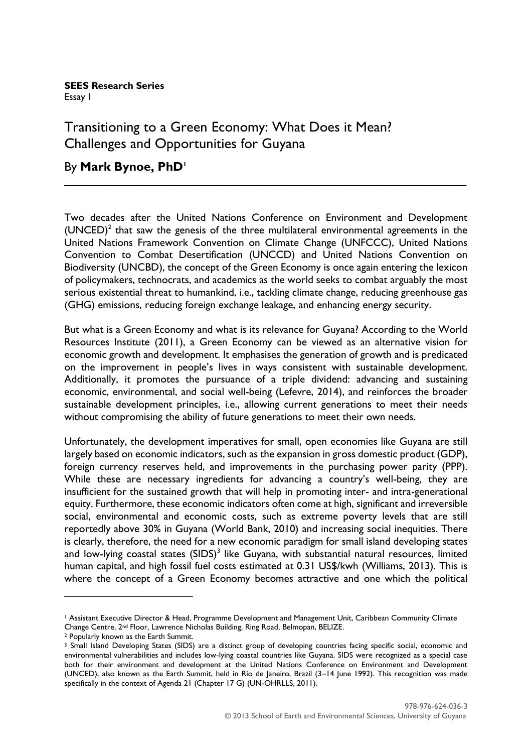**SEES Research Series** Essay I

### Transitioning to a Green Economy: What Does it Mean? Challenges and Opportunities for Guyana

#### By **Mark Bynoe, PhD<sup>1</sup>**

Two decades after the United Nations Conference on Environment and Development  $(UNCED)^2$  that saw the genesis of the three multilateral environmental agreements in the United Nations Framework Convention on Climate Change (UNFCCC), United Nations Convention to Combat Desertification (UNCCD) and United Nations Convention on Biodiversity (UNCBD), the concept of the Green Economy is once again entering the lexicon of policymakers, technocrats, and academics as the world seeks to combat arguably the most serious existential threat to humankind, i.e., tackling climate change, reducing greenhouse gas (GHG) emissions, reducing foreign exchange leakage, and enhancing energy security.

\_\_\_\_\_\_\_\_\_\_\_\_\_\_\_\_\_\_\_\_\_\_\_\_\_\_\_\_\_\_\_\_\_\_\_\_\_\_\_\_\_\_\_\_\_\_\_\_\_\_\_\_\_\_\_\_\_\_\_\_\_\_\_\_\_\_\_\_

But what is a Green Economy and what is its relevance for Guyana? According to the World Resources Institute (2011), a Green Economy can be viewed as an alternative vision for economic growth and development. It emphasises the generation of growth and is predicated on the improvement in people's lives in ways consistent with sustainable development. Additionally, it promotes the pursuance of a triple dividend: advancing and sustaining economic, environmental, and social well-being (Lefevre, 2014), and reinforces the broader sustainable development principles, i.e., allowing current generations to meet their needs without compromising the ability of future generations to meet their own needs.

Unfortunately, the development imperatives for small, open economies like Guyana are still largely based on economic indicators, such as the expansion in gross domestic product (GDP), foreign currency reserves held, and improvements in the purchasing power parity (PPP). While these are necessary ingredients for advancing a country's well-being, they are insufficient for the sustained growth that will help in promoting inter- and intra-generational equity. Furthermore, these economic indicators often come at high, significant and irreversible social, environmental and economic costs, such as extreme poverty levels that are still reportedly above 30% in Guyana (World Bank, 2010) and increasing social inequities. There is clearly, therefore, the need for a new economic paradigm for small island developing states and low-lying coastal states  $(SIDS)^3$  like Guyana, with substantial natural resources, limited human capital, and high fossil fuel costs estimated at 0.31 US\$/kwh (Williams, 2013). This is where the concept of a Green Economy becomes attractive and one which the political

1

<sup>1</sup> Assistant Executive Director & Head, Programme Development and Management Unit, Caribbean Community Climate Change Centre, 2nd Floor, Lawrence Nicholas Building, Ring Road, Belmopan, BELIZE.

<sup>2</sup> Popularly known as the Earth Summit.

<sup>&</sup>lt;sup>3</sup> Small Island Developing States (SIDS) are a distinct group of developing countries facing specific social, economic and environmental vulnerabilities and includes low-lying coastal countries like Guyana. SIDS were recognized as a special case both for their environment and development at the United Nations Conference on Environment and Development (UNCED), also known as the Earth Summit, held in Rio de Janeiro, Brazil (3–14 June 1992). This recognition was made specifically in the context of Agenda 21 (Chapter 17 G) (UN-OHRLLS, 2011).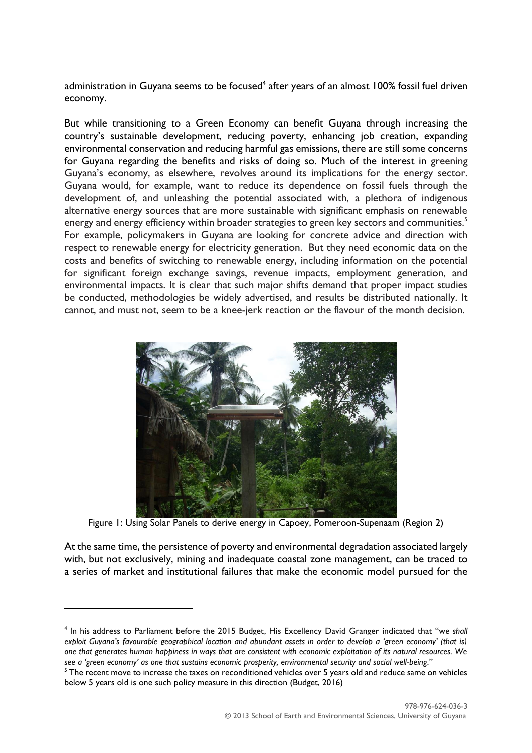administration in Guyana seems to be focused $^4$  after years of an almost 100% fossil fuel driven economy.

But while transitioning to a Green Economy can benefit Guyana through increasing the country's sustainable development, reducing poverty, enhancing job creation, expanding environmental conservation and reducing harmful gas emissions, there are still some concerns for Guyana regarding the benefits and risks of doing so. Much of the interest in greening Guyana's economy, as elsewhere, revolves around its implications for the energy sector. Guyana would, for example, want to reduce its dependence on fossil fuels through the development of, and unleashing the potential associated with, a plethora of indigenous alternative energy sources that are more sustainable with significant emphasis on renewable energy and energy efficiency within broader strategies to green key sectors and communities.<sup>5</sup> For example, policymakers in Guyana are looking for concrete advice and direction with respect to renewable energy for electricity generation. But they need economic data on the costs and benefits of switching to renewable energy, including information on the potential for significant foreign exchange savings, revenue impacts, employment generation, and environmental impacts. It is clear that such major shifts demand that proper impact studies be conducted, methodologies be widely advertised, and results be distributed nationally. It cannot, and must not, seem to be a knee-jerk reaction or the flavour of the month decision.



Figure 1: Using Solar Panels to derive energy in Capoey, Pomeroon-Supenaam (Region 2)

At the same time, the persistence of poverty and environmental degradation associated largely with, but not exclusively, mining and inadequate coastal zone management, can be traced to a series of market and institutional failures that make the economic model pursued for the

1

<sup>4</sup> In his address to Parliament before the 2015 Budget, His Excellency David Granger indicated that "w*e shall exploit Guyana's favourable geographical location and abundant assets in order to develop a 'green economy' (that is) one that generates human happiness in ways that are consistent with economic exploitation of its natural resources. We*  see a 'green economy' as one that sustains economic prosperity, environmental security and social well-being."

<sup>&</sup>lt;sup>5</sup> The recent move to increase the taxes on reconditioned vehicles over 5 years old and reduce same on vehicles below 5 years old is one such policy measure in this direction (Budget, 2016)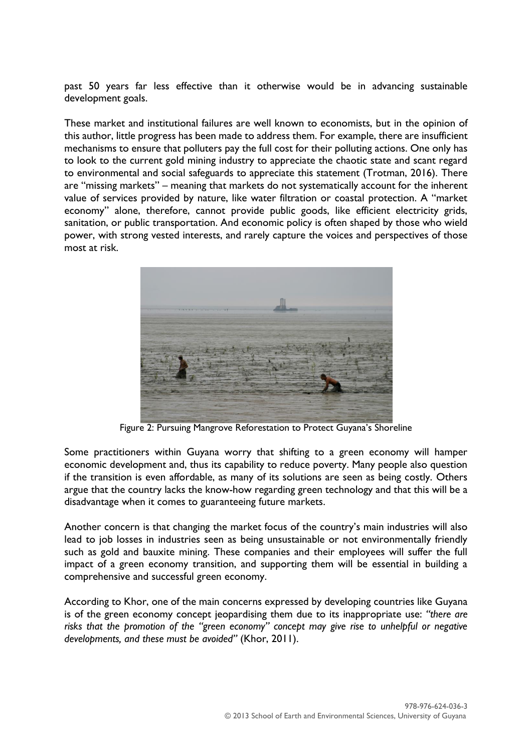past 50 years far less effective than it otherwise would be in advancing sustainable development goals.

These market and institutional failures are well known to economists, but in the opinion of this author, little progress has been made to address them. For example, there are insufficient mechanisms to ensure that polluters pay the full cost for their polluting actions. One only has to look to the current gold mining industry to appreciate the chaotic state and scant regard to environmental and social safeguards to appreciate this statement (Trotman, 2016). There are "missing markets" – meaning that markets do not systematically account for the inherent value of services provided by nature, like water filtration or coastal protection. A "market economy" alone, therefore, cannot provide public goods, like efficient electricity grids, sanitation, or public transportation. And economic policy is often shaped by those who wield power, with strong vested interests, and rarely capture the voices and perspectives of those most at risk.



Figure 2: Pursuing Mangrove Reforestation to Protect Guyana's Shoreline

Some practitioners within Guyana worry that shifting to a green economy will hamper economic development and, thus its capability to reduce poverty. Many people also question if the transition is even affordable, as many of its solutions are seen as being costly. Others argue that the country lacks the know-how regarding green technology and that this will be a disadvantage when it comes to guaranteeing future markets.

Another concern is that changing the market focus of the country's main industries will also lead to job losses in industries seen as being unsustainable or not environmentally friendly such as gold and bauxite mining. These companies and their employees will suffer the full impact of a green economy transition, and supporting them will be essential in building a comprehensive and successful green economy.

According to Khor, one of the main concerns expressed by developing countries like Guyana is of the green economy concept jeopardising them due to its inappropriate use: *"there are risks that the promotion of the "green economy" concept may give rise to unhelpful or negative developments, and these must be avoided"* [\(Khor, 2011\).](http://www.unep.org/greeneconomy/Portals/88/documents/research_products/UN-DESA,%20UNCTAD%20Transition%20GE.pdf)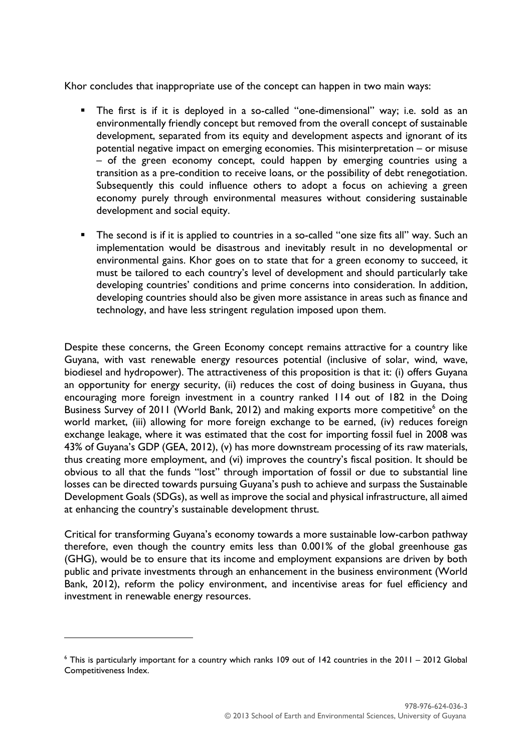Khor concludes that inappropriate use of the concept can happen in two main ways:

- The first is if it is deployed in a so-called "one-dimensional" way; i.e. sold as an environmentally friendly concept but removed from the overall concept of sustainable development, separated from its equity and development aspects and ignorant of its potential negative impact on emerging economies. This misinterpretation – or misuse – of the green economy concept, could happen by emerging countries using a transition as a pre-condition to receive loans, or the possibility of debt renegotiation. Subsequently this could influence others to adopt a focus on achieving a green economy purely through environmental measures without considering sustainable development and social equity.
- **The second is if it is applied to countries in a so-called "one size fits all" way. Such an** implementation would be disastrous and inevitably result in no developmental or environmental gains. Khor goes on to state that for a green economy to succeed, it must be tailored to each country's level of development and should particularly take developing countries' conditions and prime concerns into consideration. In addition, developing countries should also be given more assistance in areas such as finance and technology, and have less stringent regulation imposed upon them.

Despite these concerns, the Green Economy concept remains attractive for a country like Guyana, with vast renewable energy resources potential (inclusive of solar, wind, wave, biodiesel and hydropower). The attractiveness of this proposition is that it: (i) offers Guyana an opportunity for energy security, (ii) reduces the cost of doing business in Guyana, thus encouraging more foreign investment in a country ranked 114 out of 182 in the Doing Business Survey of 2011 (World Bank, 2012) and making exports more competitive<sup>6</sup> on the world market, (iii) allowing for more foreign exchange to be earned, (iv) reduces foreign exchange leakage, where it was estimated that the cost for importing fossil fuel in 2008 was 43% of Guyana's GDP (GEA, 2012), (v) has more downstream processing of its raw materials, thus creating more employment, and (vi) improves the country's fiscal position. It should be obvious to all that the funds "lost" through importation of fossil or due to substantial line losses can be directed towards pursuing Guyana's push to achieve and surpass the Sustainable Development Goals (SDGs), as well as improve the social and physical infrastructure, all aimed at enhancing the country's sustainable development thrust.

Critical for transforming Guyana's economy towards a more sustainable low-carbon pathway therefore, even though the country emits less than 0.001% of the global greenhouse gas (GHG), would be to ensure that its income and employment expansions are driven by both public and private investments through an enhancement in the business environment (World Bank, 2012), reform the policy environment, and incentivise areas for fuel efficiency and investment in renewable energy resources.

**.** 

<sup>6</sup> This is particularly important for a country which ranks 109 out of 142 countries in the 2011 – 2012 Global Competitiveness Index.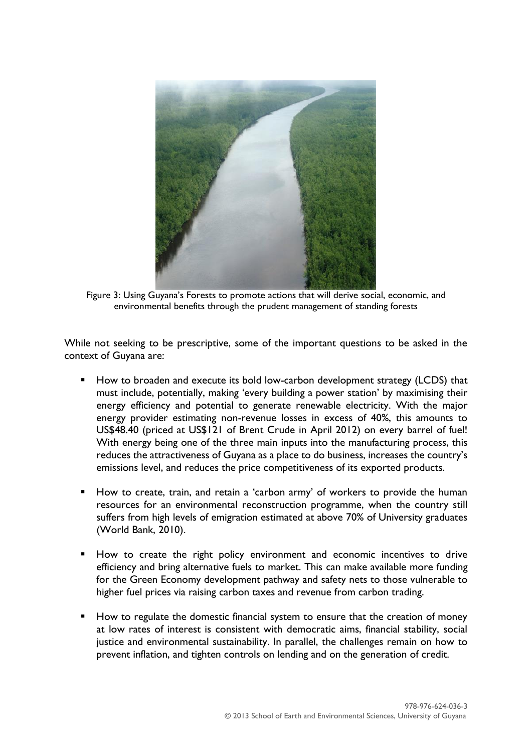

Figure 3: Using Guyana's Forests to promote actions that will derive social, economic, and environmental benefits through the prudent management of standing forests

While not seeking to be prescriptive, some of the important questions to be asked in the context of Guyana are:

- How to broaden and execute its bold low-carbon development strategy (LCDS) that must include, potentially, making 'every building a power station' by maximising their energy efficiency and potential to generate renewable electricity. With the major energy provider estimating non-revenue losses in excess of 40%, this amounts to US\$48.40 (priced at US\$121 of Brent Crude in April 2012) on every barrel of fuel! With energy being one of the three main inputs into the manufacturing process, this reduces the attractiveness of Guyana as a place to do business, increases the country's emissions level, and reduces the price competitiveness of its exported products.
- How to create, train, and retain a 'carbon army' of workers to provide the human resources for an environmental reconstruction programme, when the country still suffers from high levels of emigration estimated at above 70% of University graduates (World Bank, 2010).
- How to create the right policy environment and economic incentives to drive efficiency and bring alternative fuels to market. This can make available more funding for the Green Economy development pathway and safety nets to those vulnerable to higher fuel prices via raising carbon taxes and revenue from carbon trading.
- How to regulate the domestic financial system to ensure that the creation of money at low rates of interest is consistent with democratic aims, financial stability, social justice and environmental sustainability. In parallel, the challenges remain on how to prevent inflation, and tighten controls on lending and on the generation of credit.